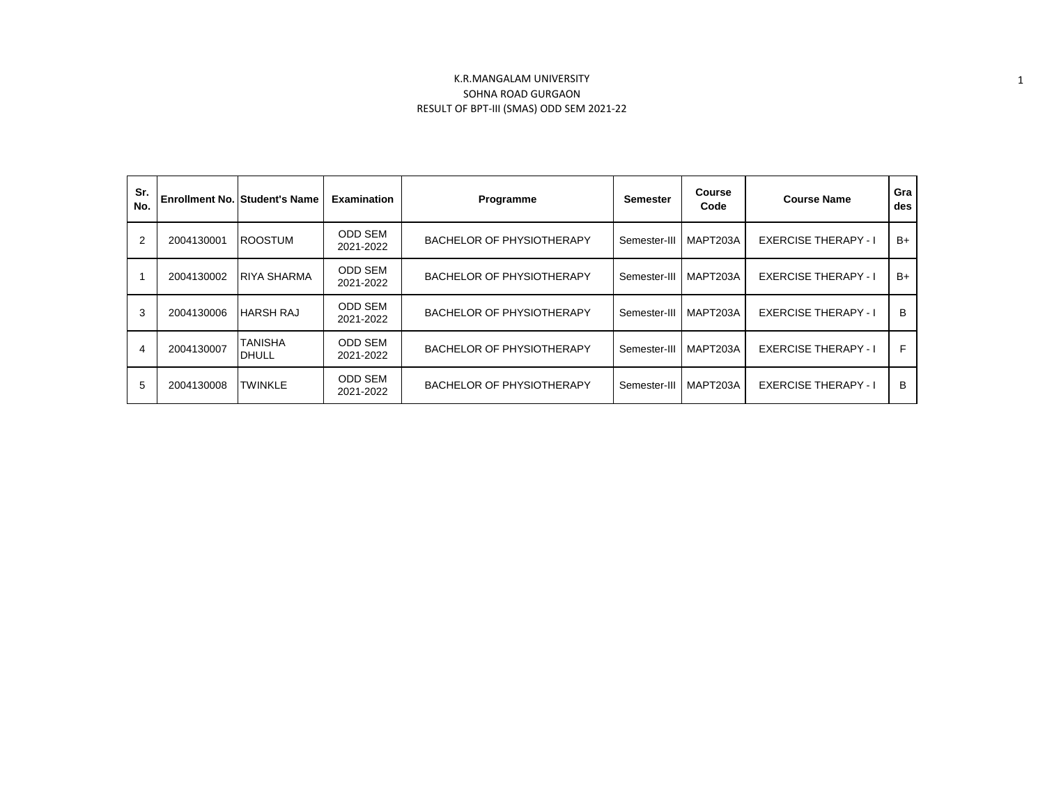| Sr.<br>No. |            | <b>Enrollment No. Student's Name</b> | <b>Examination</b>          | Programme                        | <b>Semester</b> | <b>Course</b><br>Code | <b>Course Name</b>          | Gra<br>des |
|------------|------------|--------------------------------------|-----------------------------|----------------------------------|-----------------|-----------------------|-----------------------------|------------|
| 2          | 2004130001 | <b>ROOSTUM</b>                       | <b>ODD SEM</b><br>2021-2022 | <b>BACHELOR OF PHYSIOTHERAPY</b> | Semester-III    | MAPT203A              | <b>EXERCISE THERAPY - I</b> | $B+$       |
|            | 2004130002 | <b>RIYA SHARMA</b>                   | <b>ODD SEM</b><br>2021-2022 | <b>BACHELOR OF PHYSIOTHERAPY</b> | Semester-III    | MAPT203A              | <b>EXERCISE THERAPY - I</b> | $B+$       |
| 3          | 2004130006 | <b>HARSH RAJ</b>                     | <b>ODD SEM</b><br>2021-2022 | <b>BACHELOR OF PHYSIOTHERAPY</b> | Semester-III    | MAPT203A              | <b>EXERCISE THERAPY - I</b> | B          |
| 4          | 2004130007 | <b>TANISHA</b><br><b>DHULL</b>       | <b>ODD SEM</b><br>2021-2022 | BACHELOR OF PHYSIOTHERAPY        | Semester-III    | MAPT203A              | <b>EXERCISE THERAPY - I</b> | F          |
| 5          | 2004130008 | <b>TWINKLE</b>                       | <b>ODD SEM</b><br>2021-2022 | <b>BACHELOR OF PHYSIOTHERAPY</b> | Semester-III    | MAPT203A              | <b>EXERCISE THERAPY - I</b> | B          |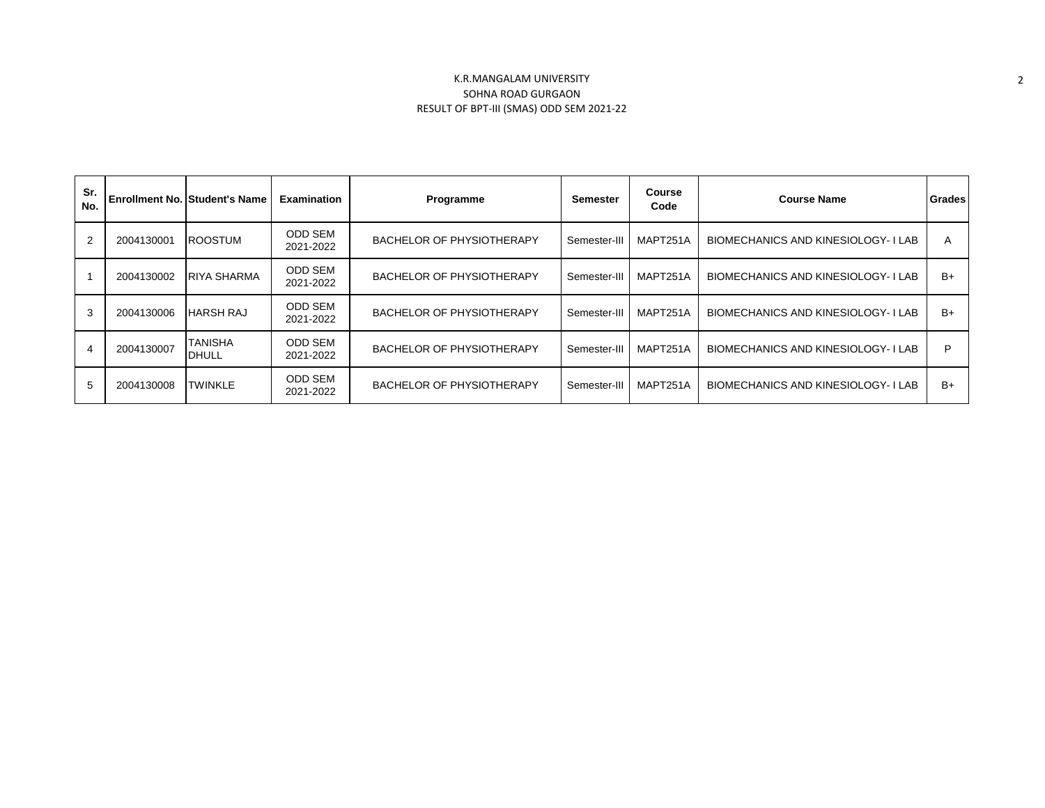| Sr.<br>No.     |            | <b>Enrollment No. Student's Name</b> | <b>Examination</b>          | Programme                        | Semester     | <b>Course</b><br>Code | <b>Course Name</b>                  | Grades |
|----------------|------------|--------------------------------------|-----------------------------|----------------------------------|--------------|-----------------------|-------------------------------------|--------|
| $\overline{2}$ | 2004130001 | <b>ROOSTUM</b>                       | <b>ODD SEM</b><br>2021-2022 | <b>BACHELOR OF PHYSIOTHERAPY</b> | Semester-III | MAPT251A              | BIOMECHANICS AND KINESIOLOGY-I LAB  | A      |
|                | 2004130002 | <b>RIYA SHARMA</b>                   | <b>ODD SEM</b><br>2021-2022 | <b>BACHELOR OF PHYSIOTHERAPY</b> | Semester-III | MAPT251A              | BIOMECHANICS AND KINESIOLOGY-I LAB  | $B+$   |
| 3              | 2004130006 | <b>HARSH RAJ</b>                     | <b>ODD SEM</b><br>2021-2022 | <b>BACHELOR OF PHYSIOTHERAPY</b> | Semester-III | MAPT251A              | BIOMECHANICS AND KINESIOLOGY-I LAB  | $B+$   |
| $\overline{4}$ | 2004130007 | <b>TANISHA</b><br><b>DHULL</b>       | <b>ODD SEM</b><br>2021-2022 | <b>BACHELOR OF PHYSIOTHERAPY</b> | Semester-III | MAPT251A              | BIOMECHANICS AND KINESIOLOGY- I LAB | D      |
| 5              | 2004130008 | <b>TWINKLE</b>                       | <b>ODD SEM</b><br>2021-2022 | BACHELOR OF PHYSIOTHERAPY        | Semester-III | MAPT251A              | BIOMECHANICS AND KINESIOLOGY-I LAB  | $B+$   |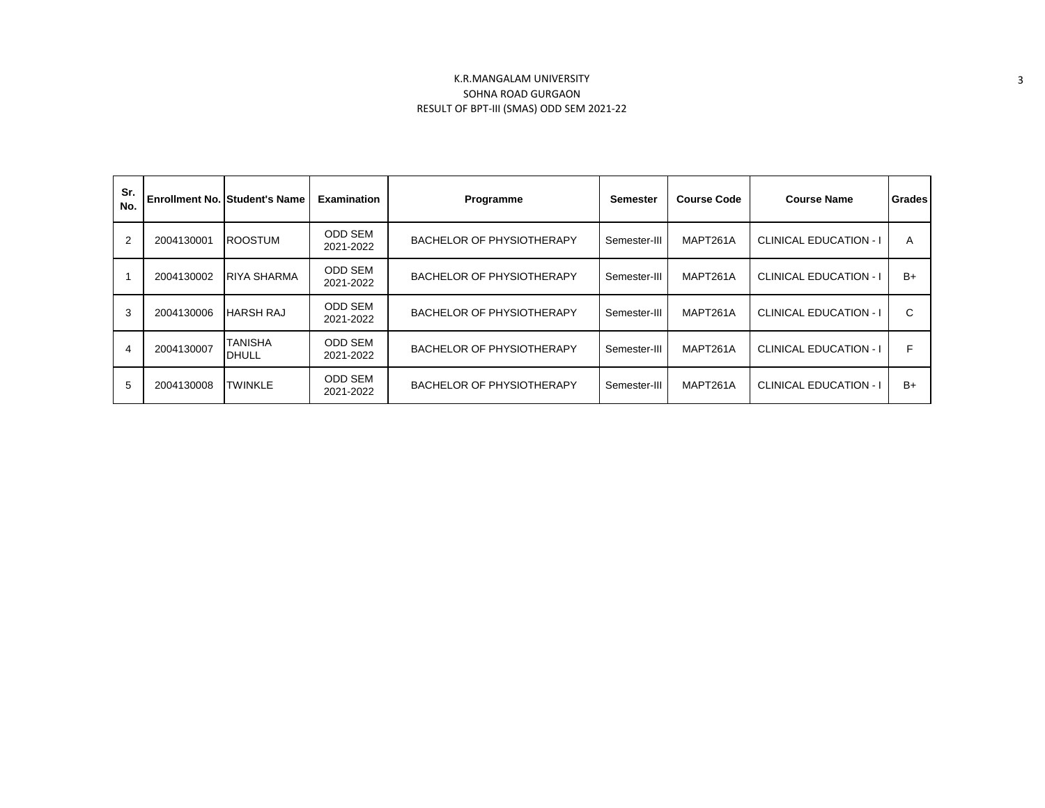| Sr.<br>No.     |            | <b>Enrollment No. Student's Name</b> | <b>Examination</b>          | Programme                        | <b>Semester</b> | <b>Course Code</b> | <b>Course Name</b>            | <b>Grades</b> |
|----------------|------------|--------------------------------------|-----------------------------|----------------------------------|-----------------|--------------------|-------------------------------|---------------|
| $\overline{2}$ | 2004130001 | <b>ROOSTUM</b>                       | <b>ODD SEM</b><br>2021-2022 | <b>BACHELOR OF PHYSIOTHERAPY</b> | Semester-III    | MAPT261A           | <b>CLINICAL EDUCATION - I</b> | A             |
|                | 2004130002 | <b>RIYA SHARMA</b>                   | <b>ODD SEM</b><br>2021-2022 | <b>BACHELOR OF PHYSIOTHERAPY</b> | Semester-III    | MAPT261A           | <b>CLINICAL EDUCATION - I</b> | $B+$          |
| 3              | 2004130006 | <b>HARSH RAJ</b>                     | <b>ODD SEM</b><br>2021-2022 | <b>BACHELOR OF PHYSIOTHERAPY</b> | Semester-III    | MAPT261A           | <b>CLINICAL EDUCATION - I</b> | C             |
| 4              | 2004130007 | TANISHA<br><b>DHULL</b>              | <b>ODD SEM</b><br>2021-2022 | <b>BACHELOR OF PHYSIOTHERAPY</b> | Semester-III    | MAPT261A           | <b>CLINICAL EDUCATION - I</b> | F             |
| 5              | 2004130008 | <b>TWINKLE</b>                       | <b>ODD SEM</b><br>2021-2022 | <b>BACHELOR OF PHYSIOTHERAPY</b> | Semester-III    | MAPT261A           | <b>CLINICAL EDUCATION - I</b> | $B+$          |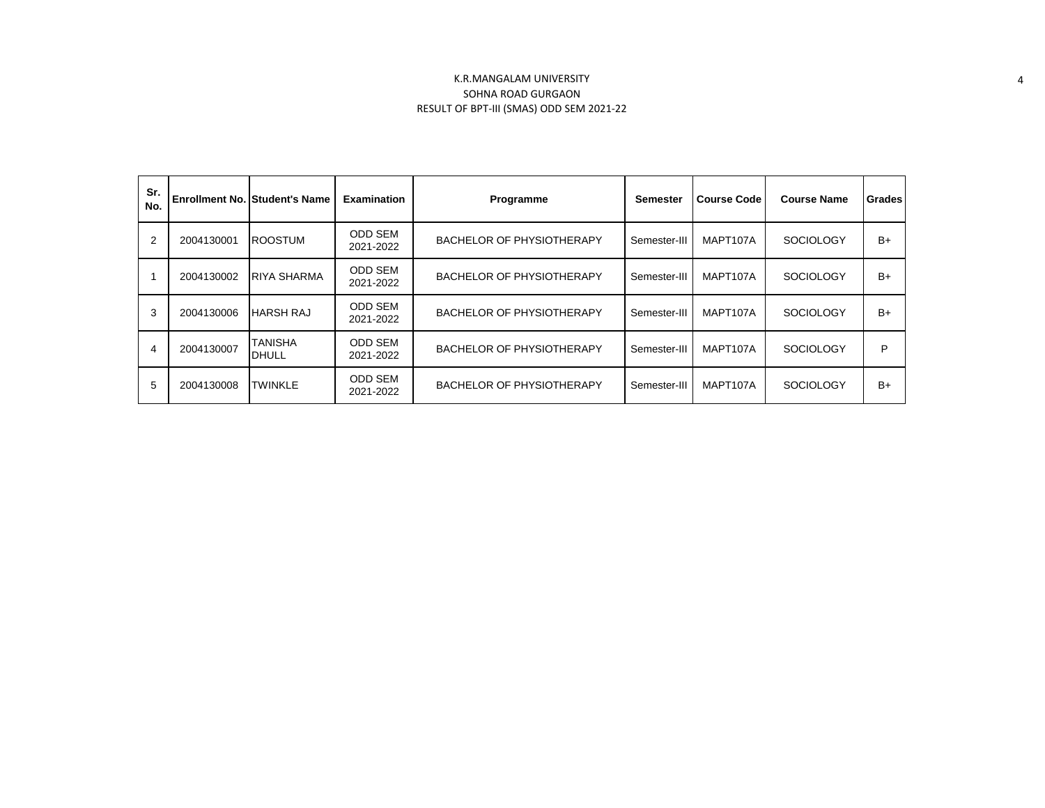| Sr.<br>No. |            | <b>Enrollment No. Student's Name</b> | <b>Examination</b>          | Programme                        | <b>Semester</b> | <b>Course Code</b> | <b>Course Name</b> | <b>Grades</b> |
|------------|------------|--------------------------------------|-----------------------------|----------------------------------|-----------------|--------------------|--------------------|---------------|
| 2          | 2004130001 | <b>ROOSTUM</b>                       | ODD SEM<br>2021-2022        | <b>BACHELOR OF PHYSIOTHERAPY</b> | Semester-III    | MAPT107A           | <b>SOCIOLOGY</b>   | $B+$          |
|            | 2004130002 | <b>RIYA SHARMA</b>                   | <b>ODD SEM</b><br>2021-2022 | <b>BACHELOR OF PHYSIOTHERAPY</b> | Semester-III    | MAPT107A           | <b>SOCIOLOGY</b>   | $B+$          |
| 3          | 2004130006 | <b>HARSH RAJ</b>                     | ODD SEM<br>2021-2022        | <b>BACHELOR OF PHYSIOTHERAPY</b> | Semester-III    | MAPT107A           | <b>SOCIOLOGY</b>   | $B+$          |
| 4          | 2004130007 | <b>TANISHA</b><br><b>DHULL</b>       | ODD SEM<br>2021-2022        | BACHELOR OF PHYSIOTHERAPY        | Semester-III    | MAPT107A           | <b>SOCIOLOGY</b>   | P             |
| 5          | 2004130008 | <b>TWINKLE</b>                       | ODD SEM<br>2021-2022        | BACHELOR OF PHYSIOTHERAPY        | Semester-III    | MAPT107A           | <b>SOCIOLOGY</b>   | $B+$          |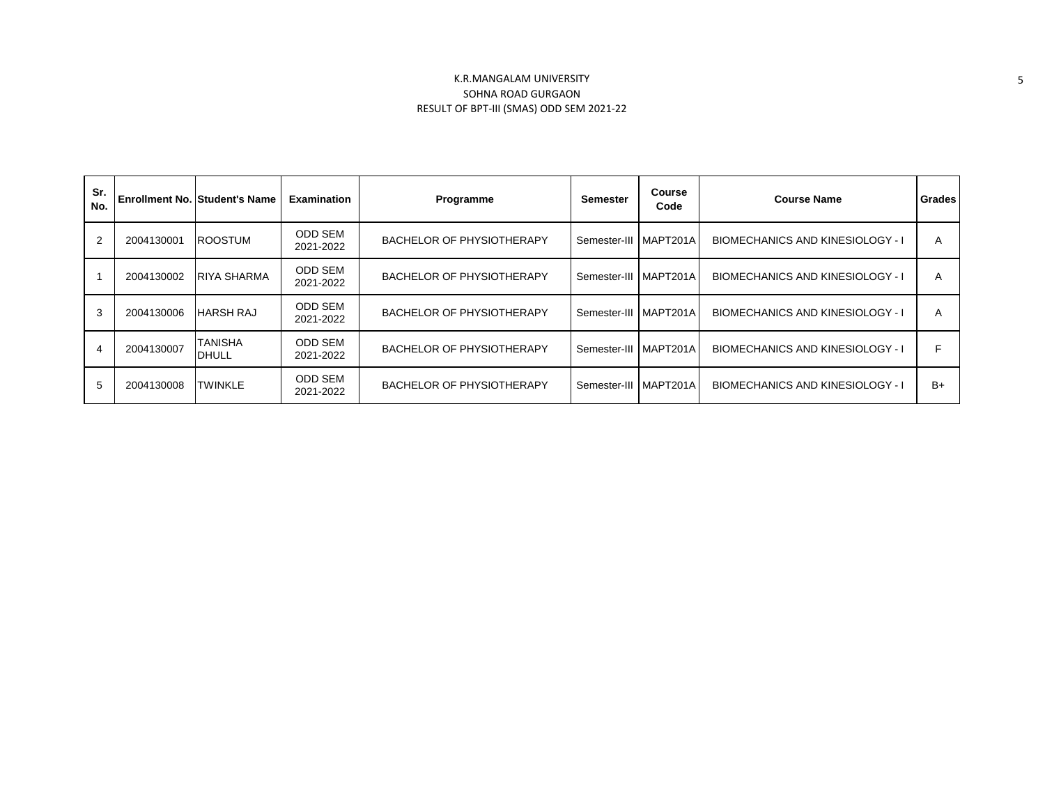| Sr.<br>No.     |            | <b>Enrollment No. Student's Name</b> | <b>Examination</b>          | Programme                        | Semester              | <b>Course</b><br>Code | <b>Course Name</b>                      | Grades |
|----------------|------------|--------------------------------------|-----------------------------|----------------------------------|-----------------------|-----------------------|-----------------------------------------|--------|
| 2              | 2004130001 | <b>ROOSTUM</b>                       | <b>ODD SEM</b><br>2021-2022 | BACHELOR OF PHYSIOTHERAPY        | Semester-III MAPT201A |                       | <b>BIOMECHANICS AND KINESIOLOGY - I</b> | A      |
|                | 2004130002 | <b>RIYA SHARMA</b>                   | <b>ODD SEM</b><br>2021-2022 | <b>BACHELOR OF PHYSIOTHERAPY</b> | Semester-III MAPT201A |                       | <b>BIOMECHANICS AND KINESIOLOGY - I</b> | A      |
| 3              | 2004130006 | <b>HARSH RAJ</b>                     | <b>ODD SEM</b><br>2021-2022 | <b>BACHELOR OF PHYSIOTHERAPY</b> | Semester-III I        | MAPT201A              | <b>BIOMECHANICS AND KINESIOLOGY - I</b> | A      |
| $\overline{4}$ | 2004130007 | <b>TANISHA</b><br><b>IDHULL</b>      | <b>ODD SEM</b><br>2021-2022 | <b>BACHELOR OF PHYSIOTHERAPY</b> | Semester-III          | MAPT201A              | <b>BIOMECHANICS AND KINESIOLOGY - I</b> |        |
| 5              | 2004130008 | <b>TWINKLE</b>                       | <b>ODD SEM</b><br>2021-2022 | <b>BACHELOR OF PHYSIOTHERAPY</b> | Semester-III          | MAPT201A              | <b>BIOMECHANICS AND KINESIOLOGY - I</b> | $B+$   |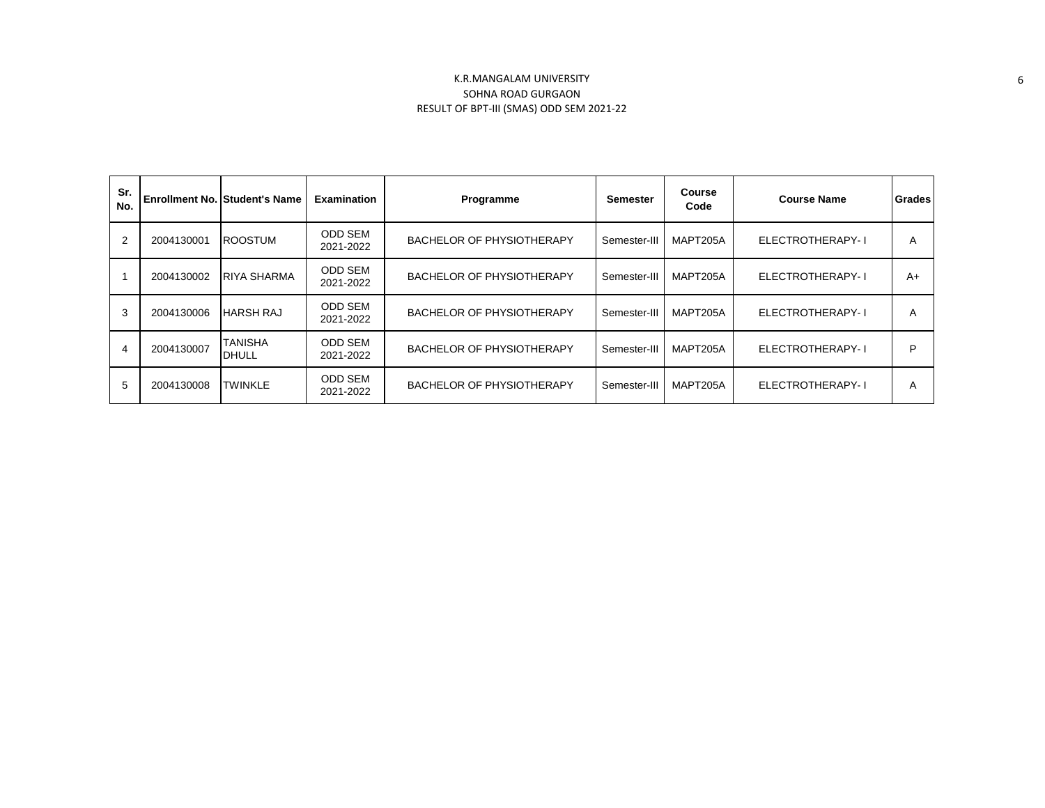| Sr.<br>No. |            | <b>Enrollment No. Student's Name</b> | <b>Examination</b>          | Programme                        | <b>Semester</b> | <b>Course</b><br>Code | <b>Course Name</b> | Grades |
|------------|------------|--------------------------------------|-----------------------------|----------------------------------|-----------------|-----------------------|--------------------|--------|
| 2          | 2004130001 | <b>ROOSTUM</b>                       | ODD SEM<br>2021-2022        | <b>BACHELOR OF PHYSIOTHERAPY</b> | Semester-III    | MAPT205A              | ELECTROTHERAPY-I   | A      |
|            | 2004130002 | <b>RIYA SHARMA</b>                   | <b>ODD SEM</b><br>2021-2022 | <b>BACHELOR OF PHYSIOTHERAPY</b> | Semester-III    | MAPT205A              | ELECTROTHERAPY-I   | $A+$   |
| 3          | 2004130006 | <b>HARSH RAJ</b>                     | <b>ODD SEM</b><br>2021-2022 | BACHELOR OF PHYSIOTHERAPY        | Semester-III    | MAPT205A              | ELECTROTHERAPY-1   | A      |
| 4          | 2004130007 | <b>TANISHA</b><br><b>DHULL</b>       | <b>ODD SEM</b><br>2021-2022 | BACHELOR OF PHYSIOTHERAPY        | Semester-III    | MAPT205A              | ELECTROTHERAPY-I   | P      |
| 5          | 2004130008 | <b>TWINKLE</b>                       | <b>ODD SEM</b><br>2021-2022 | BACHELOR OF PHYSIOTHERAPY        | Semester-III    | MAPT205A              | ELECTROTHERAPY-1   | A      |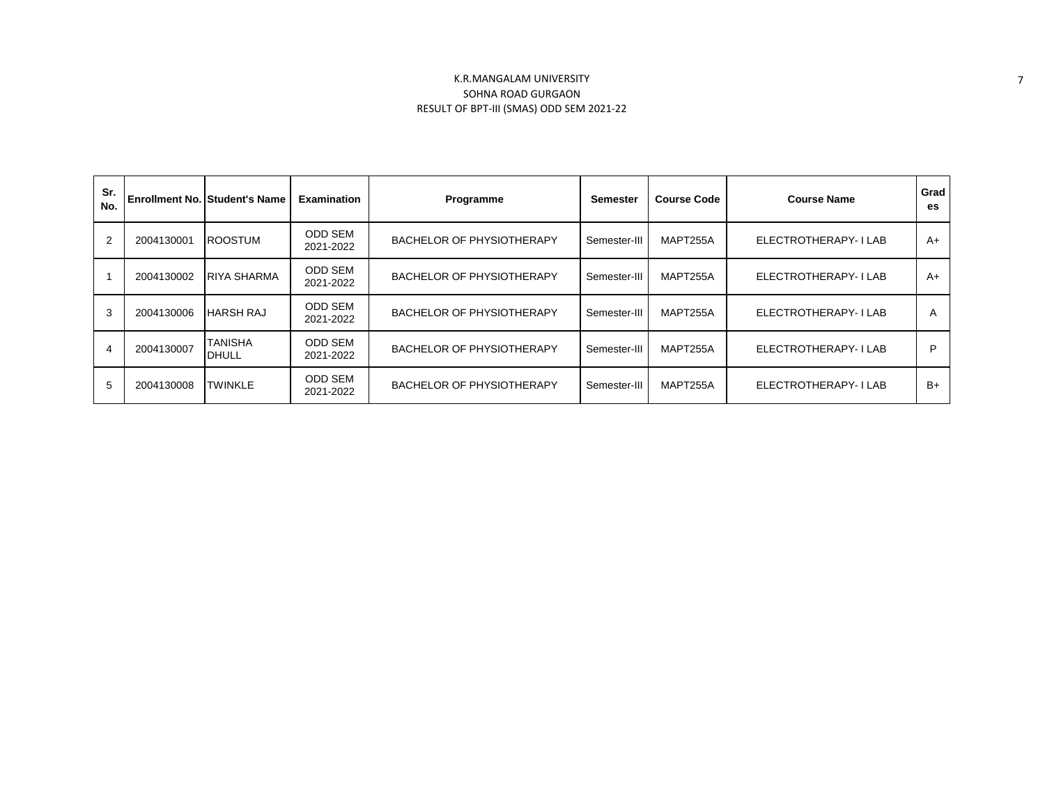| Sr.<br>No. |            | <b>Enrollment No. Student's Name</b> | <b>Examination</b>          | <b>Programme</b>                 | Semester     | <b>Course Code</b> | <b>Course Name</b>   | Grad<br>es. |
|------------|------------|--------------------------------------|-----------------------------|----------------------------------|--------------|--------------------|----------------------|-------------|
| 2          | 2004130001 | <b>ROOSTUM</b>                       | <b>ODD SEM</b><br>2021-2022 | <b>BACHELOR OF PHYSIOTHERAPY</b> | Semester-III | MAPT255A           | ELECTROTHERAPY-I LAB | $A+$        |
|            | 2004130002 | <b>RIYA SHARMA</b>                   | <b>ODD SEM</b><br>2021-2022 | BACHELOR OF PHYSIOTHERAPY        | Semester-III | MAPT255A           | ELECTROTHERAPY-I LAB | $A+$        |
| 3          | 2004130006 | <b>HARSH RAJ</b>                     | <b>ODD SEM</b><br>2021-2022 | BACHELOR OF PHYSIOTHERAPY        | Semester-III | MAPT255A           | ELECTROTHERAPY-I LAB | A           |
| 4          | 2004130007 | <b>TANISHA</b><br><b>DHULL</b>       | <b>ODD SEM</b><br>2021-2022 | BACHELOR OF PHYSIOTHERAPY        | Semester-III | MAPT255A           | ELECTROTHERAPY-I LAB | P           |
| 5          | 2004130008 | <b>TWINKLE</b>                       | <b>ODD SEM</b><br>2021-2022 | BACHELOR OF PHYSIOTHERAPY        | Semester-III | MAPT255A           | ELECTROTHERAPY-I LAB | $B+$        |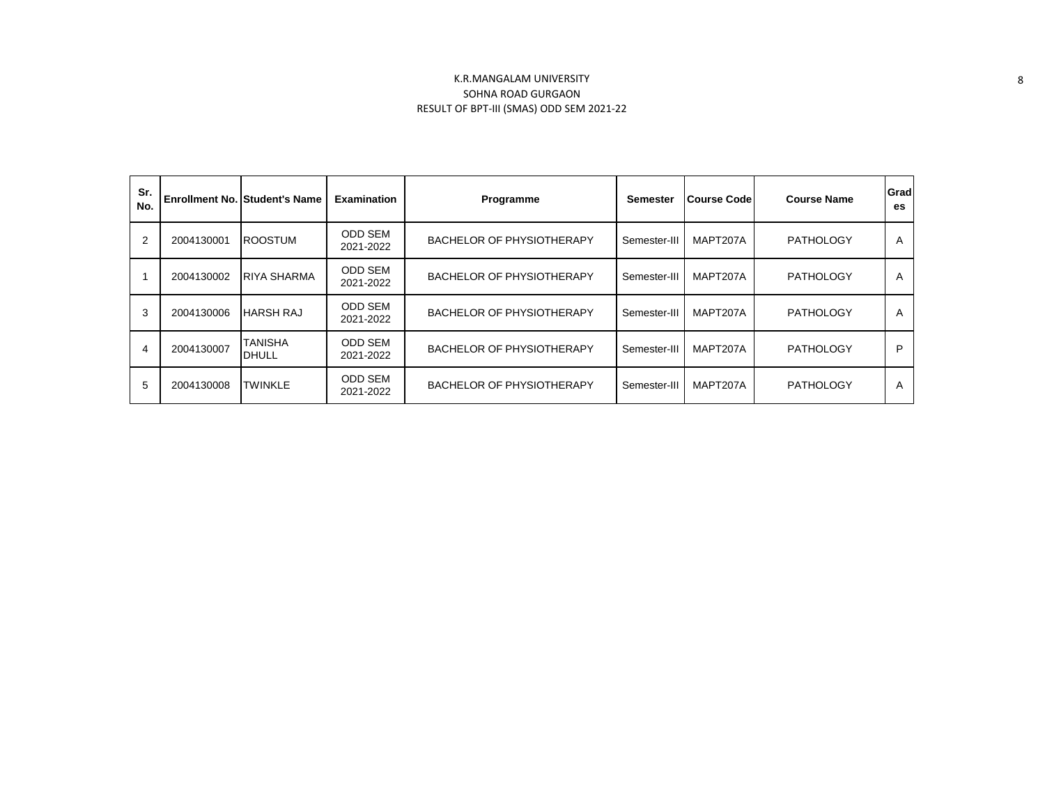| Sr.<br>No.     |            | <b>Enrollment No. Student's Name</b> | <b>Examination</b>          | Programme                        | <b>Semester</b> | <b>Course Code</b> | <b>Course Name</b> | Grad<br>es |
|----------------|------------|--------------------------------------|-----------------------------|----------------------------------|-----------------|--------------------|--------------------|------------|
| $\overline{2}$ | 2004130001 | <b>ROOSTUM</b>                       | <b>ODD SEM</b><br>2021-2022 | <b>BACHELOR OF PHYSIOTHERAPY</b> | Semester-III    | MAPT207A           | <b>PATHOLOGY</b>   | A          |
|                | 2004130002 | IRIYA SHARMA                         | <b>ODD SEM</b><br>2021-2022 | BACHELOR OF PHYSIOTHERAPY        | Semester-III    | MAPT207A           | <b>PATHOLOGY</b>   | A          |
| 3              | 2004130006 | <b>HARSH RAJ</b>                     | <b>ODD SEM</b><br>2021-2022 | BACHELOR OF PHYSIOTHERAPY        | Semester-III    | MAPT207A           | <b>PATHOLOGY</b>   | A          |
| 4              | 2004130007 | <b>TANISHA</b><br><b>DHULL</b>       | <b>ODD SEM</b><br>2021-2022 | <b>BACHELOR OF PHYSIOTHERAPY</b> | Semester-III    | MAPT207A           | <b>PATHOLOGY</b>   | P          |
| 5              | 2004130008 | <b>TWINKLE</b>                       | <b>ODD SEM</b><br>2021-2022 | BACHELOR OF PHYSIOTHERAPY        | Semester-III    | MAPT207A           | <b>PATHOLOGY</b>   | A          |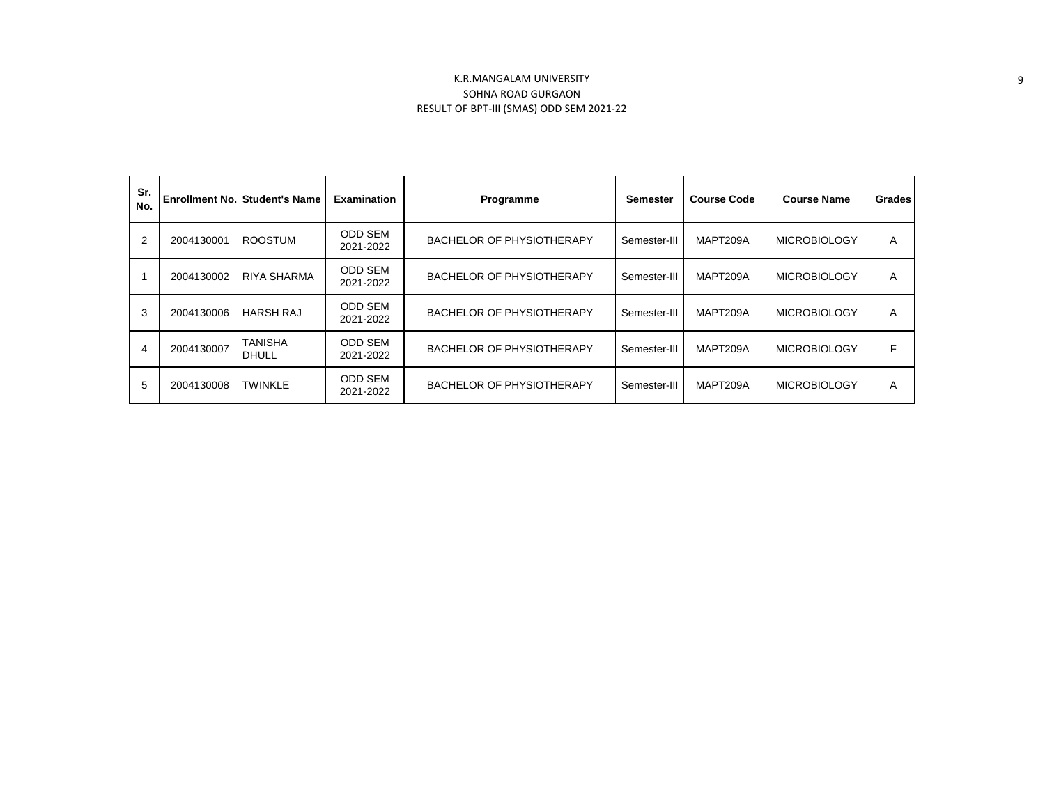| Sr.<br>No.     |            | <b>Enrollment No. Student's Name</b> | <b>Examination</b>          | Programme                        | <b>Semester</b> | <b>Course Code</b> | <b>Course Name</b>  | <b>Grades</b> |
|----------------|------------|--------------------------------------|-----------------------------|----------------------------------|-----------------|--------------------|---------------------|---------------|
| $\overline{2}$ | 2004130001 | <b>ROOSTUM</b>                       | <b>ODD SEM</b><br>2021-2022 | <b>BACHELOR OF PHYSIOTHERAPY</b> | Semester-III    | MAPT209A           | <b>MICROBIOLOGY</b> | A             |
|                | 2004130002 | <b>RIYA SHARMA</b>                   | <b>ODD SEM</b><br>2021-2022 | BACHELOR OF PHYSIOTHERAPY        | Semester-III    | MAPT209A           | <b>MICROBIOLOGY</b> | A             |
| 3              | 2004130006 | <b>HARSH RAJ</b>                     | <b>ODD SEM</b><br>2021-2022 | <b>BACHELOR OF PHYSIOTHERAPY</b> | Semester-III    | MAPT209A           | <b>MICROBIOLOGY</b> | A             |
| 4              | 2004130007 | TANISHA<br><b>DHULL</b>              | <b>ODD SEM</b><br>2021-2022 | <b>BACHELOR OF PHYSIOTHERAPY</b> | Semester-III    | MAPT209A           | <b>MICROBIOLOGY</b> | F             |
| 5              | 2004130008 | <b>TWINKLE</b>                       | <b>ODD SEM</b><br>2021-2022 | <b>BACHELOR OF PHYSIOTHERAPY</b> | Semester-III    | MAPT209A           | <b>MICROBIOLOGY</b> | A             |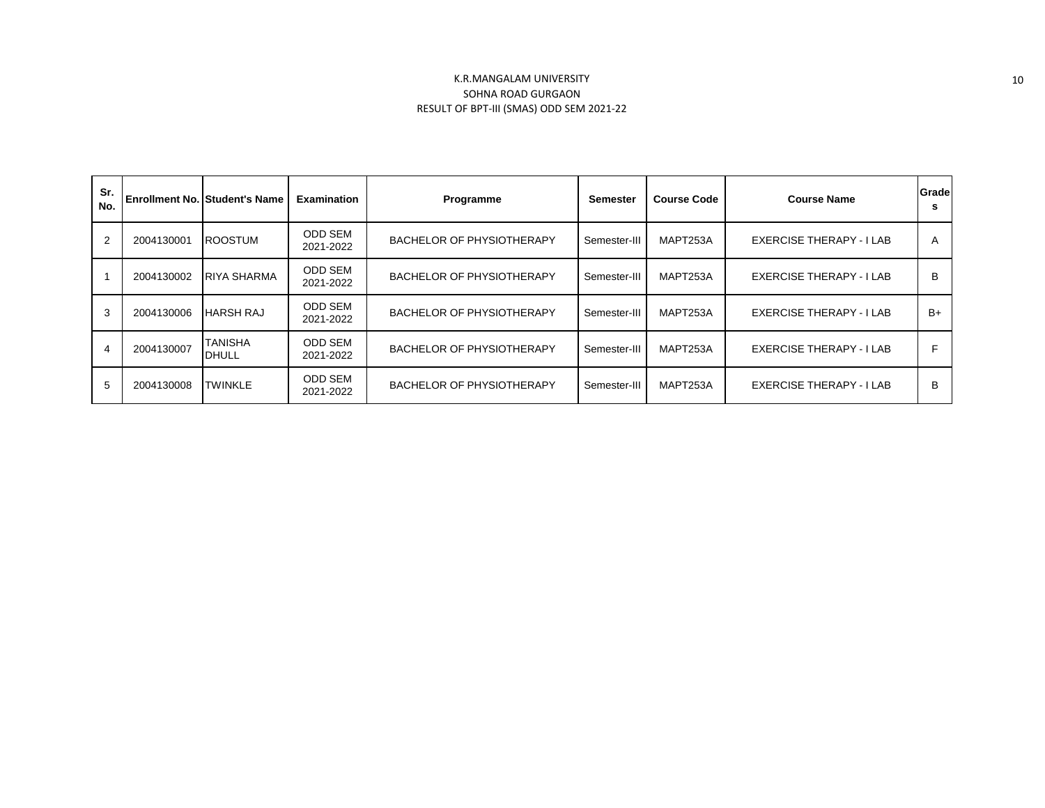| Sr.<br>No. |            | <b>Enrollment No. Student's Name</b> | <b>Examination</b>          | Programme                 | Semester     | <b>Course Code</b> | <b>Course Name</b>              | Grade |
|------------|------------|--------------------------------------|-----------------------------|---------------------------|--------------|--------------------|---------------------------------|-------|
| 2          | 2004130001 | <b>ROOSTUM</b>                       | <b>ODD SEM</b><br>2021-2022 | BACHELOR OF PHYSIOTHERAPY | Semester-III | MAPT253A           | EXERCISE THERAPY - I LAB        | A     |
|            | 2004130002 | <b>IRIYA SHARMA</b>                  | <b>ODD SEM</b><br>2021-2022 | BACHELOR OF PHYSIOTHERAPY | Semester-III | MAPT253A           | EXERCISE THERAPY - I LAB        | B     |
| 3          | 2004130006 | <b>HARSH RAJ</b>                     | <b>ODD SEM</b><br>2021-2022 | BACHELOR OF PHYSIOTHERAPY | Semester-III | MAPT253A           | EXERCISE THERAPY - I LAB        | $B+$  |
| 4          | 2004130007 | <b>TANISHA</b><br><b>DHULL</b>       | <b>ODD SEM</b><br>2021-2022 | BACHELOR OF PHYSIOTHERAPY | Semester-III | MAPT253A           | <b>EXERCISE THERAPY - I LAB</b> |       |
| 5          | 2004130008 | <b>TWINKLE</b>                       | <b>ODD SEM</b><br>2021-2022 | BACHELOR OF PHYSIOTHERAPY | Semester-III | MAPT253A           | EXERCISE THERAPY - I LAB        | B     |